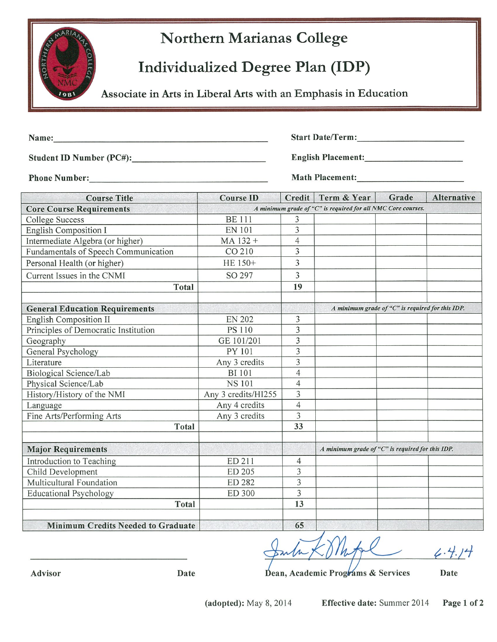|      | $\Gamma_4$ |                   |
|------|------------|-------------------|
|      |            |                   |
| ORTH |            |                   |
|      |            |                   |
|      | $I_9B_1$   | $\mathbf{s}$<br>H |

## Northern Marianas College

# Individualized Degree Plan (IDP)

Associate in Arts in Liberal Arts with an Emphasis in Education

| Name:                    | <b>Start Date/Term:</b>   |
|--------------------------|---------------------------|
| Student ID Number (PC#): | <b>English Placement:</b> |
| <b>Phone Number:</b>     | <b>Math Placement:</b>    |

| <b>Course Title</b>                       | <b>Course ID</b>    |                | Credit Term & Year                                           | Grade | <b>Alternative</b> |
|-------------------------------------------|---------------------|----------------|--------------------------------------------------------------|-------|--------------------|
| <b>Core Course Requirements</b>           |                     |                | A minimum grade of "C" is required for all NMC Core courses. |       |                    |
| <b>College Success</b>                    | <b>BE</b> 111       | 3              |                                                              |       |                    |
| English Composition I                     | <b>EN 101</b>       | 3              |                                                              |       |                    |
| Intermediate Algebra (or higher)          | MA 132+             | $\overline{4}$ |                                                              |       |                    |
| Fundamentals of Speech Communication      | CO 210              | 3              |                                                              |       |                    |
| Personal Health (or higher)               | HE 150+             | 3              |                                                              |       |                    |
| Current Issues in the CNMI                | SO 297              | 3              |                                                              |       |                    |
| Total                                     |                     | 19             |                                                              |       |                    |
|                                           |                     |                |                                                              |       |                    |
| <b>General Education Requirements</b>     |                     |                | A minimum grade of "C" is required for this IDP.             |       |                    |
| English Composition II                    | <b>EN 202</b>       | 3              |                                                              |       |                    |
| Principles of Democratic Institution      | <b>PS 110</b>       | 3              |                                                              |       |                    |
| Geography                                 | GE 101/201          | $\overline{3}$ |                                                              |       |                    |
| General Psychology                        | PY 101              | 3              |                                                              |       |                    |
| Literature                                | Any 3 credits       | $\overline{3}$ |                                                              |       |                    |
| <b>Biological Science/Lab</b>             | <b>BI</b> 101       | $\overline{4}$ |                                                              |       |                    |
| Physical Science/Lab                      | <b>NS101</b>        | 4              |                                                              |       |                    |
| History/History of the NMI                | Any 3 credits/HI255 | $\overline{3}$ |                                                              |       |                    |
| Language                                  | Any 4 credits       | $\overline{4}$ |                                                              |       |                    |
| Fine Arts/Performing Arts                 | Any 3 credits       | 3              |                                                              |       |                    |
| <b>Total</b>                              |                     | 33             |                                                              |       |                    |
| <b>Major Requirements</b>                 |                     |                | A minimum grade of "C" is required for this IDP.             |       |                    |
| Introduction to Teaching                  | ED 211              | $\overline{4}$ |                                                              |       |                    |
| Child Development                         | ED 205              | 3              |                                                              |       |                    |
| Multicultural Foundation                  | ED 282              | 3              |                                                              |       |                    |
| <b>Educational Psychology</b>             | <b>ED 300</b>       | 3              |                                                              |       |                    |
| <b>Total</b>                              |                     | 13             |                                                              |       |                    |
| <b>Minimum Credits Needed to Graduate</b> |                     | 65             |                                                              |       |                    |

*&J::/:\_{(/4\_ftZ ?·'lJ1* 

Advisor **Date Dean, Academic Programs & Services** Date